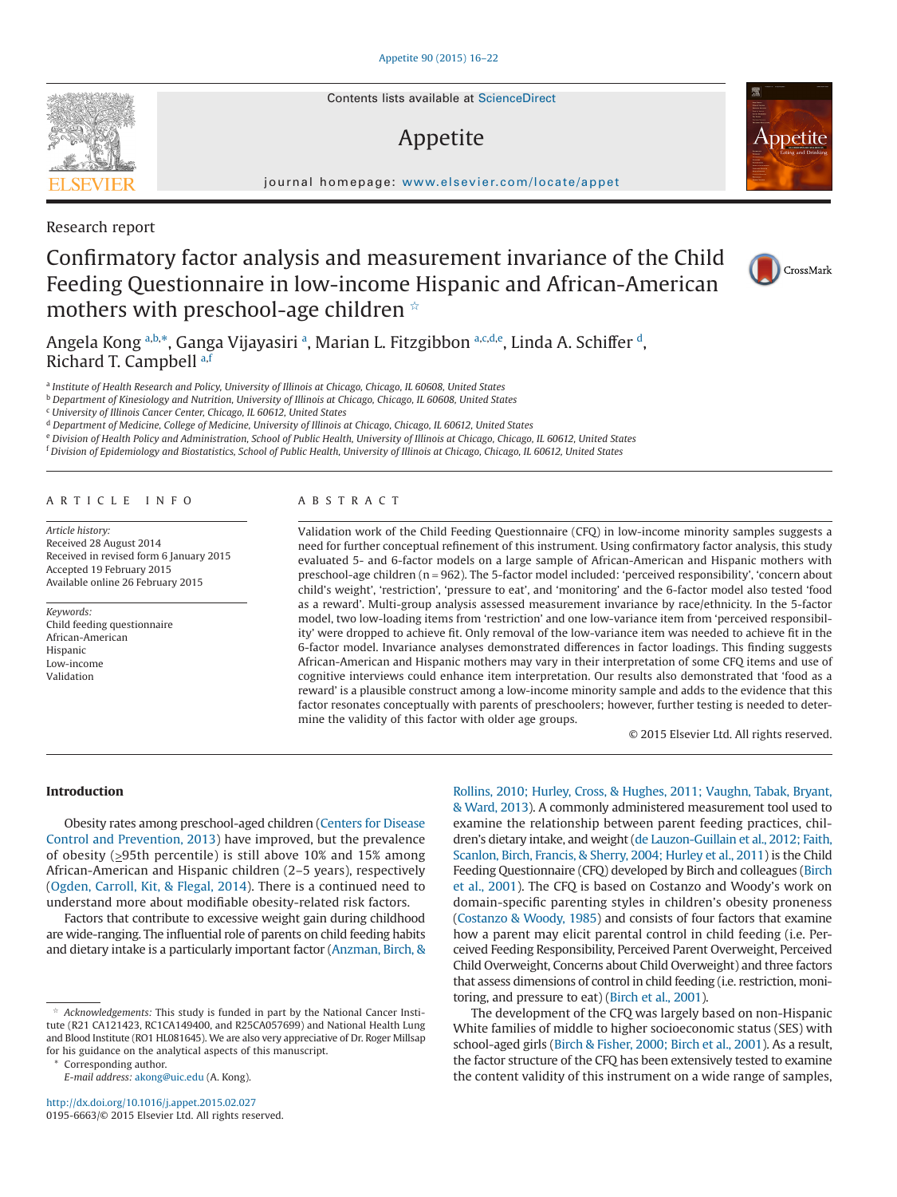Contents lists available at [ScienceDirect](http://www.sciencedirect.com/science/journal/01956663)

# Appetite

journal homepage: [www.elsevier.com/locate/appet](http://www.elsevier.com/locate/APPET)

Research report

# Confirmatory factor analysis and measurement invariance of the Child Feeding Questionnaire in low-income Hispanic and African-American mothers with preschool-age children ☆

Angel[a](#page-0-0) Kong <sup>a[,b,](#page-0-1)\*</sup>, Ganga Vijayasiri <sup>a</sup>, Marian L. Fitzgibbon <sup>a[,c,](#page-0-2)[d,](#page-0-3)[e](#page-0-4)</sup>, Linda A. Schiffer <sup>d</sup>, Richard T. Campbell [a](#page-0-0)[,f](#page-0-5)

<span id="page-0-0"></span><sup>a</sup> *Institute of Health Research and Policy, University of Illinois at Chicago, Chicago, IL 60608, United States*

<span id="page-0-1"></span><sup>b</sup> *Department of Kinesiology and Nutrition, University of Illinois at Chicago, Chicago, IL 60608, United States*

<span id="page-0-2"></span><sup>c</sup> *University of Illinois Cancer Center, Chicago, IL 60612, United States*

<span id="page-0-3"></span><sup>d</sup> *Department of Medicine, College of Medicine, University of Illinois at Chicago, Chicago, IL 60612, United States*

<span id="page-0-4"></span><sup>e</sup> *Division of Health Policy and Administration, School of Public Health, University of Illinois at Chicago, Chicago, IL 60612, United States*

<span id="page-0-5"></span><sup>f</sup> *Division of Epidemiology and Biostatistics, School of Public Health, University of Illinois at Chicago, Chicago, IL 60612, United States*

### ARTICLE INFO

*Article history:* Received 28 August 2014 Received in revised form 6 January 2015 Accepted 19 February 2015 Available online 26 February 2015

*Keywords:* Child feeding questionnaire African-American Hispanic Low-income Validation

## ABSTRACT

Validation work of the Child Feeding Questionnaire (CFQ) in low-income minority samples suggests a need for further conceptual refinement of this instrument. Using confirmatory factor analysis, this study evaluated 5- and 6-factor models on a large sample of African-American and Hispanic mothers with preschool-age children (n = 962). The 5-factor model included: 'perceived responsibility', 'concern about child's weight', 'restriction', 'pressure to eat', and 'monitoring' and the 6-factor model also tested 'food as a reward'. Multi-group analysis assessed measurement invariance by race/ethnicity. In the 5-factor model, two low-loading items from 'restriction' and one low-variance item from 'perceived responsibility' were dropped to achieve fit. Only removal of the low-variance item was needed to achieve fit in the 6-factor model. Invariance analyses demonstrated differences in factor loadings. This finding suggests African-American and Hispanic mothers may vary in their interpretation of some CFQ items and use of cognitive interviews could enhance item interpretation. Our results also demonstrated that 'food as a reward' is a plausible construct among a low-income minority sample and adds to the evidence that this factor resonates conceptually with parents of preschoolers; however, further testing is needed to determine the validity of this factor with older age groups.

© 2015 Elsevier Ltd. All rights reserved.

#### **Introduction**

Obesity rates among preschool-aged children [\(Centers for Disease](#page--1-0) [Control and Prevention, 2013\)](#page--1-0) have improved, but the prevalence of obesity (>95th percentile) is still above 10% and 15% among African-American and Hispanic children (2–5 years), respectively [\(Ogden, Carroll, Kit, & Flegal, 2014\)](#page--1-1). There is a continued need to understand more about modifiable obesity-related risk factors.

Factors that contribute to excessive weight gain during childhood are wide-ranging. The influential role of parents on child feeding habits and dietary intake is a particularly important factor [\(Anzman, Birch, &](#page--1-2)

Corresponding author.

*E-mail address:* [akong@uic.edu](mailto:akong@uic.edu) (A. Kong).

[Rollins, 2010; Hurley, Cross, & Hughes, 2011; Vaughn, Tabak, Bryant,](#page--1-2) [& Ward, 2013\)](#page--1-2). A commonly administered measurement tool used to examine the relationship between parent feeding practices, children's dietary intake, and weight [\(de Lauzon-Guillain et al., 2012; Faith,](#page--1-3) [Scanlon, Birch, Francis, & Sherry, 2004; Hurley et al., 2011\)](#page--1-3) is the Child Feeding Questionnaire (CFQ) developed by Birch and colleagues [\(Birch](#page--1-4) [et al., 2001\)](#page--1-4). The CFQ is based on Costanzo and Woody's work on domain-specific parenting styles in children's obesity proneness [\(Costanzo & Woody, 1985\)](#page--1-5) and consists of four factors that examine how a parent may elicit parental control in child feeding (i.e. Perceived Feeding Responsibility, Perceived Parent Overweight, Perceived Child Overweight, Concerns about Child Overweight) and three factors that assess dimensions of control in child feeding (i.e. restriction, monitoring, and pressure to eat) [\(Birch et al., 2001\)](#page--1-4).

The development of the CFQ was largely based on non-Hispanic White families of middle to higher socioeconomic status (SES) with school-aged girls [\(Birch & Fisher, 2000; Birch et al., 2001\)](#page--1-6). As a result, the factor structure of the CFQ has been extensively tested to examine the content validity of this instrument on a wide range of samples,



ppetite



Acknowledgements: This study is funded in part by the National Cancer Institute (R21 CA121423, RC1CA149400, and R25CA057699) and National Health Lung and Blood Institute (RO1 HL081645). We are also very appreciative of Dr. Roger Millsap for his guidance on the analytical aspects of this manuscript.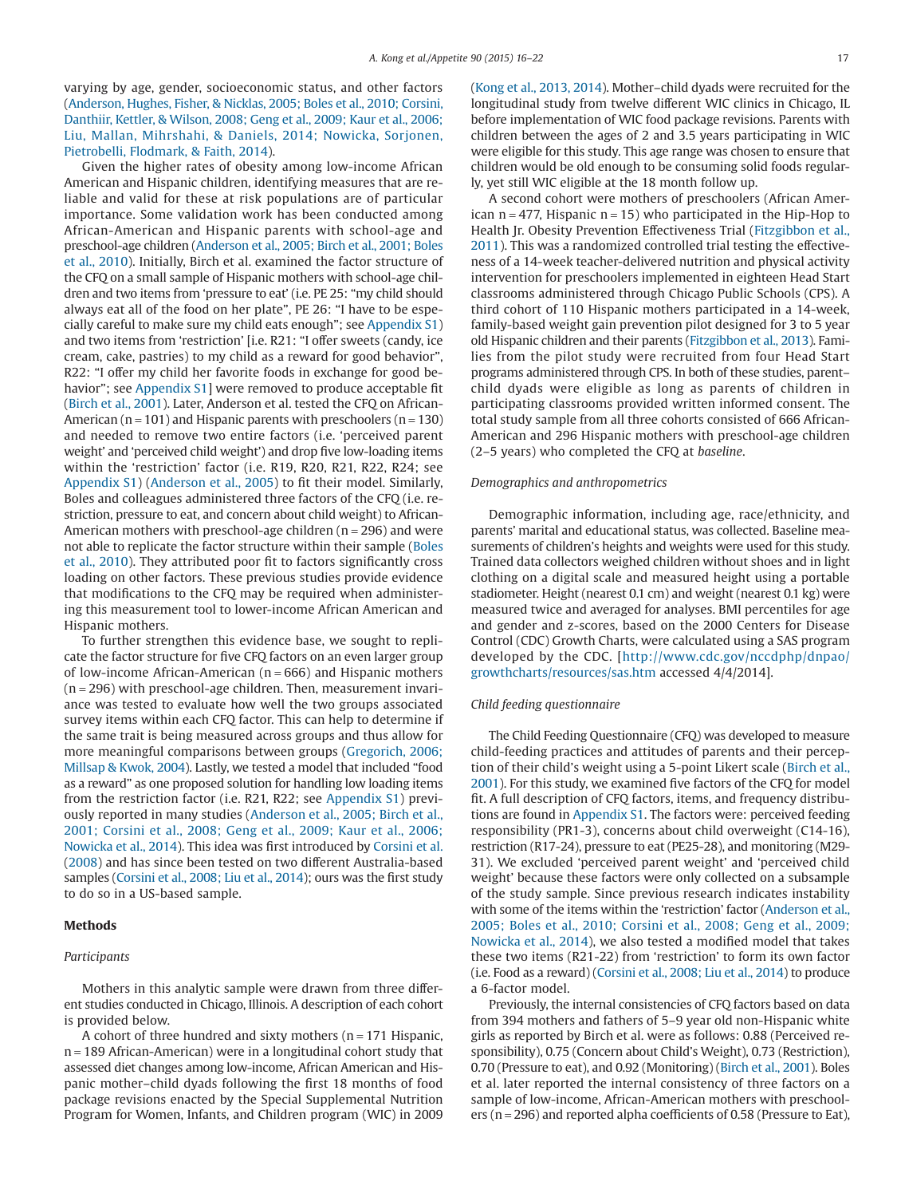varying by age, gender, socioeconomic status, and other factors [\(Anderson, Hughes, Fisher, & Nicklas, 2005; Boles et al., 2010; Corsini,](#page--1-7) [Danthiir, Kettler, & Wilson, 2008; Geng et al., 2009; Kaur et al., 2006;](#page--1-7) [Liu, Mallan, Mihrshahi, & Daniels, 2014; Nowicka, Sorjonen,](#page--1-7) [Pietrobelli, Flodmark, & Faith, 2014\)](#page--1-7).

Given the higher rates of obesity among low-income African American and Hispanic children, identifying measures that are reliable and valid for these at risk populations are of particular importance. Some validation work has been conducted among African-American and Hispanic parents with school-age and preschool-age children [\(Anderson et al., 2005; Birch et al., 2001; Boles](#page--1-7) [et al., 2010\)](#page--1-7). Initially, Birch et al. examined the factor structure of the CFQ on a small sample of Hispanic mothers with school-age children and two items from 'pressure to eat' (i.e. PE 25: "my child should always eat all of the food on her plate", PE 26: "I have to be especially careful to make sure my child eats enough"; see Appendix S1) and two items from 'restriction' [i.e. R21: "I offer sweets (candy, ice cream, cake, pastries) to my child as a reward for good behavior", R22: "I offer my child her favorite foods in exchange for good behavior"; see Appendix S1] were removed to produce acceptable fit [\(Birch et al., 2001\)](#page--1-4). Later, Anderson et al. tested the CFQ on African-American ( $n = 101$ ) and Hispanic parents with preschoolers ( $n = 130$ ) and needed to remove two entire factors (i.e. 'perceived parent weight' and 'perceived child weight') and drop five low-loading items within the 'restriction' factor (i.e. R19, R20, R21, R22, R24; see Appendix S1) [\(Anderson et al., 2005\)](#page--1-7) to fit their model. Similarly, Boles and colleagues administered three factors of the CFQ (i.e. restriction, pressure to eat, and concern about child weight) to African-American mothers with preschool-age children ( $n = 296$ ) and were not able to replicate the factor structure within their sample [\(Boles](#page--1-8) [et al., 2010\)](#page--1-8). They attributed poor fit to factors significantly cross loading on other factors. These previous studies provide evidence that modifications to the CFQ may be required when administering this measurement tool to lower-income African American and Hispanic mothers.

To further strengthen this evidence base, we sought to replicate the factor structure for five CFQ factors on an even larger group of low-income African-American ( $n = 666$ ) and Hispanic mothers  $(n = 296)$  with preschool-age children. Then, measurement invariance was tested to evaluate how well the two groups associated survey items within each CFQ factor. This can help to determine if the same trait is being measured across groups and thus allow for more meaningful comparisons between groups [\(Gregorich, 2006;](#page--1-9) [Millsap & Kwok, 2004\)](#page--1-9). Lastly, we tested a model that included "food as a reward" as one proposed solution for handling low loading items from the restriction factor (i.e. R21, R22; see Appendix S1) previously reported in many studies [\(Anderson et al., 2005; Birch et al.,](#page--1-7) [2001; Corsini et al., 2008; Geng et al., 2009; Kaur et al., 2006;](#page--1-7) [Nowicka et al., 2014\)](#page--1-7). This idea was first introduced by [Corsini et al.](#page--1-10) [\(2008\)](#page--1-10) and has since been tested on two different Australia-based samples [\(Corsini et al., 2008; Liu et al., 2014\)](#page--1-10); ours was the first study to do so in a US-based sample.

# **Methods**

# *Participants*

Mothers in this analytic sample were drawn from three different studies conducted in Chicago, Illinois. A description of each cohort is provided below.

A cohort of three hundred and sixty mothers ( $n = 171$  Hispanic, n = 189 African-American) were in a longitudinal cohort study that assessed diet changes among low-income, African American and Hispanic mother–child dyads following the first 18 months of food package revisions enacted by the Special Supplemental Nutrition Program for Women, Infants, and Children program (WIC) in 2009

[\(Kong et al., 2013, 2014\)](#page--1-11). Mother–child dyads were recruited for the longitudinal study from twelve different WIC clinics in Chicago, IL before implementation of WIC food package revisions. Parents with children between the ages of 2 and 3.5 years participating in WIC were eligible for this study. This age range was chosen to ensure that children would be old enough to be consuming solid foods regularly, yet still WIC eligible at the 18 month follow up.

A second cohort were mothers of preschoolers (African American  $n = 477$ , Hispanic  $n = 15$ ) who participated in the Hip-Hop to Health Jr. Obesity Prevention Effectiveness Trial [\(Fitzgibbon et al.,](#page--1-12) [2011\)](#page--1-12). This was a randomized controlled trial testing the effectiveness of a 14-week teacher-delivered nutrition and physical activity intervention for preschoolers implemented in eighteen Head Start classrooms administered through Chicago Public Schools (CPS). A third cohort of 110 Hispanic mothers participated in a 14-week, family-based weight gain prevention pilot designed for 3 to 5 year old Hispanic children and their parents [\(Fitzgibbon et al., 2013\)](#page--1-13). Families from the pilot study were recruited from four Head Start programs administered through CPS. In both of these studies, parent– child dyads were eligible as long as parents of children in participating classrooms provided written informed consent. The total study sample from all three cohorts consisted of 666 African-American and 296 Hispanic mothers with preschool-age children (2–5 years) who completed the CFQ at *baseline*.

#### *Demographics and anthropometrics*

Demographic information, including age, race/ethnicity, and parents' marital and educational status, was collected. Baseline measurements of children's heights and weights were used for this study. Trained data collectors weighed children without shoes and in light clothing on a digital scale and measured height using a portable stadiometer. Height (nearest 0.1 cm) and weight (nearest 0.1 kg) were measured twice and averaged for analyses. BMI percentiles for age and gender and z-scores, based on the 2000 Centers for Disease Control (CDC) Growth Charts, were calculated using a SAS program developed by the CDC. [\[http://www.cdc.gov/nccdphp/dnpao/](http://www.cdc.gov/nccdphp/dnpao/growthcharts/resources/sas.htm) [growthcharts/resources/sas.htm](http://www.cdc.gov/nccdphp/dnpao/growthcharts/resources/sas.htm) accessed 4/4/2014].

#### *Child feeding questionnaire*

The Child Feeding Questionnaire (CFQ) was developed to measure child-feeding practices and attitudes of parents and their perception of their child's weight using a 5-point Likert scale [\(Birch et al.,](#page--1-4) [2001\)](#page--1-4). For this study, we examined five factors of the CFQ for model fit. A full description of CFQ factors, items, and frequency distributions are found in Appendix S1. The factors were: perceived feeding responsibility (PR1-3), concerns about child overweight (C14-16), restriction (R17-24), pressure to eat (PE25-28), and monitoring (M29- 31). We excluded 'perceived parent weight' and 'perceived child weight' because these factors were only collected on a subsample of the study sample. Since previous research indicates instability with some of the items within the 'restriction' factor [\(Anderson et al.,](#page--1-7) [2005; Boles et al., 2010; Corsini et al., 2008; Geng et al., 2009;](#page--1-7) [Nowicka et al., 2014\)](#page--1-7), we also tested a modified model that takes these two items (R21-22) from 'restriction' to form its own factor (i.e. Food as a reward) [\(Corsini et al., 2008; Liu et al., 2014\)](#page--1-10) to produce a 6-factor model.

Previously, the internal consistencies of CFQ factors based on data from 394 mothers and fathers of 5–9 year old non-Hispanic white girls as reported by Birch et al. were as follows: 0.88 (Perceived responsibility), 0.75 (Concern about Child's Weight), 0.73 (Restriction), 0.70 (Pressure to eat), and 0.92 (Monitoring) [\(Birch et al., 2001\)](#page--1-4). Boles et al. later reported the internal consistency of three factors on a sample of low-income, African-American mothers with preschoolers (n = 296) and reported alpha coefficients of 0.58 (Pressure to Eat),